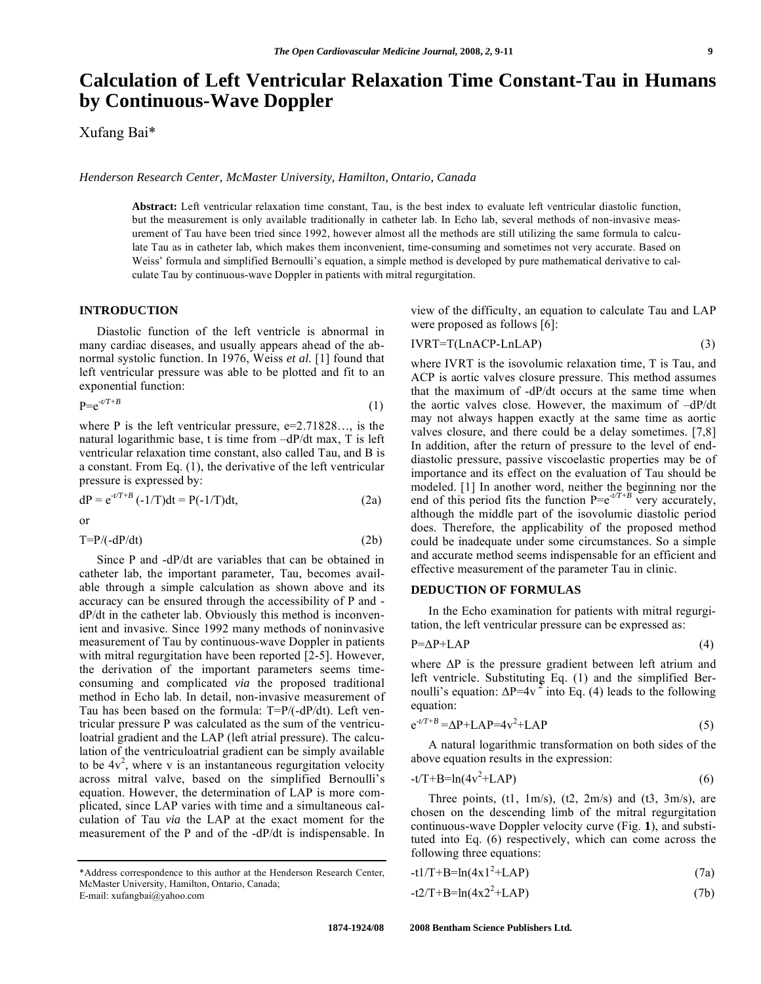# **Calculation of Left Ventricular Relaxation Time Constant-Tau in Humans by Continuous-Wave Doppler**

Xufang Bai\*

*Henderson Research Center, McMaster University, Hamilton, Ontario, Canada* 

**Abstract:** Left ventricular relaxation time constant, Tau, is the best index to evaluate left ventricular diastolic function, but the measurement is only available traditionally in catheter lab. In Echo lab, several methods of non-invasive measurement of Tau have been tried since 1992, however almost all the methods are still utilizing the same formula to calculate Tau as in catheter lab, which makes them inconvenient, time-consuming and sometimes not very accurate. Based on Weiss' formula and simplified Bernoulli's equation, a simple method is developed by pure mathematical derivative to calculate Tau by continuous-wave Doppler in patients with mitral regurgitation.

### **INTRODUCTION**

 Diastolic function of the left ventricle is abnormal in many cardiac diseases, and usually appears ahead of the abnormal systolic function. In 1976, Weiss *et al.* [1] found that left ventricular pressure was able to be plotted and fit to an exponential function:

$$
P = e^{-t/T+B} \tag{1}
$$

where P is the left ventricular pressure,  $e=2.71828...$ , is the natural logarithmic base, t is time from –dP/dt max, T is left ventricular relaxation time constant, also called Tau, and B is a constant. From Eq. (1), the derivative of the left ventricular pressure is expressed by:

$$
dP = e^{-t/T+B} (-1/T)dt = P(-1/T)dt,
$$
 (2a)

or

$$
T = P/(-dP/dt)
$$
 (2b)

 Since P and -dP/dt are variables that can be obtained in catheter lab, the important parameter, Tau, becomes available through a simple calculation as shown above and its accuracy can be ensured through the accessibility of P and dP/dt in the catheter lab. Obviously this method is inconvenient and invasive. Since 1992 many methods of noninvasive measurement of Tau by continuous-wave Doppler in patients with mitral regurgitation have been reported [2-5]. However, the derivation of the important parameters seems timeconsuming and complicated *via* the proposed traditional method in Echo lab. In detail, non-invasive measurement of Tau has been based on the formula: T=P/(-dP/dt). Left ventricular pressure P was calculated as the sum of the ventriculoatrial gradient and the LAP (left atrial pressure). The calculation of the ventriculoatrial gradient can be simply available to be  $4v^2$ , where v is an instantaneous regurgitation velocity across mitral valve, based on the simplified Bernoulli's equation. However, the determination of LAP is more complicated, since LAP varies with time and a simultaneous calculation of Tau *via* the LAP at the exact moment for the measurement of the P and of the -dP/dt is indispensable. In

E-mail: xufangbai@yahoo.com

view of the difficulty, an equation to calculate Tau and LAP were proposed as follows [6]:

$$
IVRT=T(LnACP-LnLAP)
$$
 (3)

where IVRT is the isovolumic relaxation time, T is Tau, and ACP is aortic valves closure pressure. This method assumes that the maximum of -dP/dt occurs at the same time when the aortic valves close. However, the maximum of –dP/dt may not always happen exactly at the same time as aortic valves closure, and there could be a delay sometimes. [7,8] In addition, after the return of pressure to the level of enddiastolic pressure, passive viscoelastic properties may be of importance and its effect on the evaluation of Tau should be modeled. [1] In another word, neither the beginning nor the end of this period fits the function  $P=e^{-t/T+B}$  very accurately, although the middle part of the isovolumic diastolic period does. Therefore, the applicability of the proposed method could be inadequate under some circumstances. So a simple and accurate method seems indispensable for an efficient and effective measurement of the parameter Tau in clinic.

#### **DEDUCTION OF FORMULAS**

 In the Echo examination for patients with mitral regurgitation, the left ventricular pressure can be expressed as:

$$
P = \Delta P + \text{LAP} \tag{4}
$$

where  $\Delta P$  is the pressure gradient between left atrium and left ventricle. Substituting Eq. (1) and the simplified Bernoulli's equation:  $\Delta P=4v^2$  into Eq. (4) leads to the following equation:

$$
e^{-t/T+B} = \Delta P + LAP = 4v^2 + LAP
$$
\n(5)

 A natural logarithmic transformation on both sides of the above equation results in the expression:

$$
-t/T + B = \ln(4v^2 + LAP)
$$
 (6)

Three points,  $(t1, 1m/s)$ ,  $(t2, 2m/s)$  and  $(t3, 3m/s)$ , are chosen on the descending limb of the mitral regurgitation continuous-wave Doppler velocity curve (Fig. **1**), and substituted into Eq. (6) respectively, which can come across the following three equations:

$$
-t1/T + B = \ln(4x1^2 + LAP)
$$
 (7a)

$$
-t2/T + B = \ln(4x^2 + LAP)
$$
 (7b)

<sup>\*</sup>Address correspondence to this author at the Henderson Research Center, McMaster University, Hamilton, Ontario, Canada;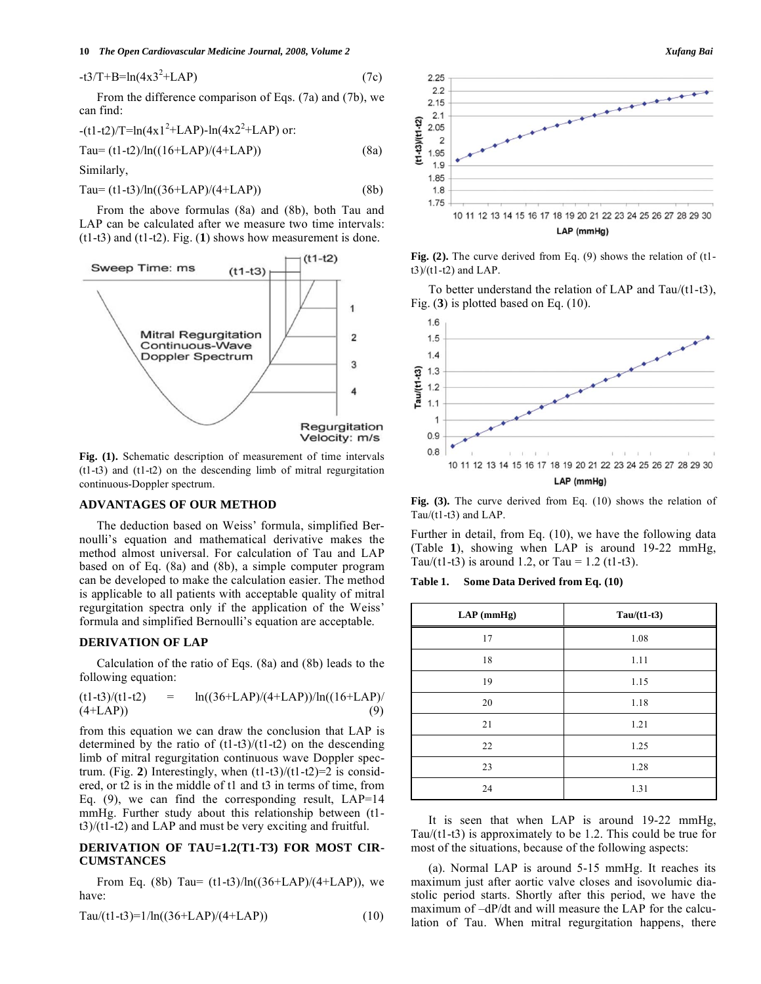#### **10** *The Open Cardiovascular Medicine Journal, 2008, Volume 2* **Xufang Bai** *Xufang Bai**Xufang Bai**Xufang Bai*

$$
-t3/T + B = \ln(4x3^2 + LAP)
$$
 (7c)

 From the difference comparison of Eqs. (7a) and (7b), we can find:

-(t1-t2)/T=ln(4x1<sup>2</sup> +LAP)-ln(4x2<sup>2</sup> +LAP) or: Tau= (t1-t2)/ln((16+LAP)/(4+LAP)) (8a)

Similarly,

$$
Tau = (t1-t3)/\ln((36+LAP)/(4+LAP))
$$
 (8b)

 From the above formulas (8a) and (8b), both Tau and LAP can be calculated after we measure two time intervals: (t1-t3) and (t1-t2). Fig. (**1**) shows how measurement is done.



**Fig. (1).** Schematic description of measurement of time intervals (t1-t3) and (t1-t2) on the descending limb of mitral regurgitation continuous-Doppler spectrum.

#### **ADVANTAGES OF OUR METHOD**

 The deduction based on Weiss' formula, simplified Bernoulli's equation and mathematical derivative makes the method almost universal. For calculation of Tau and LAP based on of Eq. (8a) and (8b), a simple computer program can be developed to make the calculation easier. The method is applicable to all patients with acceptable quality of mitral regurgitation spectra only if the application of the Weiss' formula and simplified Bernoulli's equation are acceptable.

#### **DERIVATION OF LAP**

 Calculation of the ratio of Eqs. (8a) and (8b) leads to the following equation:

$$
(t1-t3)/(t1-t2) = \ln((36+LAP)/(4+LAP))/\ln((16+LAP)/(4+LAP))
$$
\n(9)

from this equation we can draw the conclusion that LAP is determined by the ratio of  $(t1-t3)/(t1-t2)$  on the descending limb of mitral regurgitation continuous wave Doppler spectrum. (Fig. 2) Interestingly, when  $(t1-t3)/(t1-t2)=2$  is considered, or t2 is in the middle of t1 and t3 in terms of time, from Eq.  $(9)$ , we can find the corresponding result, LAP=14 mmHg. Further study about this relationship between (t1 t3)/(t1-t2) and LAP and must be very exciting and fruitful.

#### **DERIVATION OF TAU=1.2(T1-T3) FOR MOST CIR-CUMSTANCES**

From Eq. (8b) Tau=  $(t1-t3)/\ln((36+LAP)/(4+LAP))$ , we have:

$$
Tau/(t1-t3)=1/ln((36+LAP)/(4+LAP))
$$
 (10)



**Fig. (2).** The curve derived from Eq. (9) shows the relation of (t1  $t3)/(t1-t2)$  and LAP.

 To better understand the relation of LAP and Tau/(t1-t3), Fig. (**3**) is plotted based on Eq. (10).



**Fig. (3).** The curve derived from Eq. (10) shows the relation of Tau/ $(t1-t3)$  and LAP.

Further in detail, from Eq. (10), we have the following data (Table **1**), showing when LAP is around 19-22 mmHg, Tau/(t1-t3) is around 1.2, or Tau =  $1.2$  (t1-t3).

**Table 1. Some Data Derived from Eq. (10)** 

| $LAP$ (mmHg) | $Tau/(t1-t3)$ |
|--------------|---------------|
| 17           | 1.08          |
| 18           | 1.11          |
| 19           | 1.15          |
| 20           | 1.18          |
| 21           | 1.21          |
| 22           | 1.25          |
| 23           | 1.28          |
| 24           | 1.31          |

 It is seen that when LAP is around 19-22 mmHg, Tau/(t1-t3) is approximately to be 1.2. This could be true for most of the situations, because of the following aspects:

 (a). Normal LAP is around 5-15 mmHg. It reaches its maximum just after aortic valve closes and isovolumic diastolic period starts. Shortly after this period, we have the maximum of –dP/dt and will measure the LAP for the calculation of Tau. When mitral regurgitation happens, there